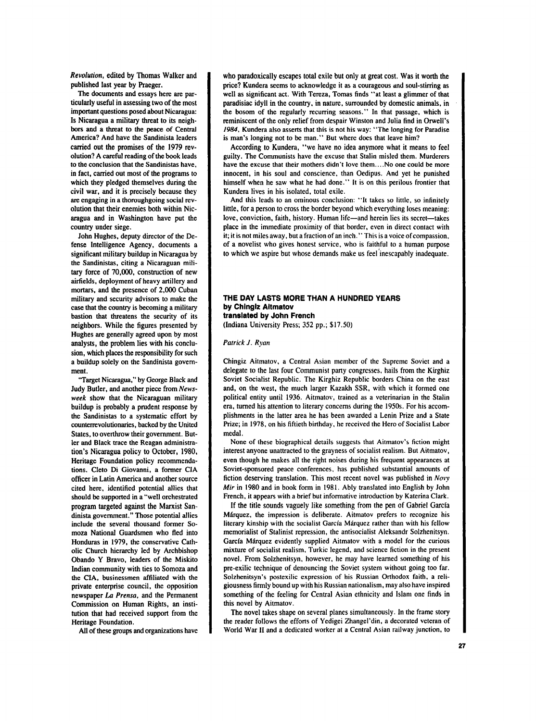*Revolution,* **edited** by Thomas Walker and published last year by Praeger.

The documents and essays here *are* particularly useful in assessing two of the most important questions posed about Nicaragua: Is Nicaragua a military threat to its neigh**bors** and a threat to the peace of Central America? And have the Sandinista leaders carried out the promises of the 1979 revolution? A careful reading of the book leads to the conclusion that the Sandinistas have, in fact, carried out most of the programs to which they pledged themselves during the civil war, and it is precisely because they *are* engaging in a thoroughgoing social revolution that their enemies both within Nicaragua and in Washington have put the country under siege.

John Hughes, deputy director of the Defense Intelligence Agency, documents a significant military buildup in Nicaragua by the Sandinistas, citing a Nicaraguan military force of 70,000, construction of new airfields, deployment of heavy artillery and mortars, and the presence of **2.000** Cuban military and security advisors to make the case that the country is becoming a military bastion that threatens the security of its neighbors. While the **figures** presented by Hughes **are** generally agreed upon by most analysts, the problem lies with his conclusion, which places the responsibility for such a buildup solely on the Sandinista govemment.

'Target Nicaragua," by George Black and Judy Butler, and another piece from News*week* show that the Nicaraguan military buildup is probably a prudent response by the Sandinistas to a systematic effort by counterrevolutionaries, backed by the **Unjted**  States, to overthrow their government. Butler and Black trace the Reagan administration's Nicaragua policy to October, 1980, Heritage Foundation policy recommendations. Cleto Di Giovanni, a former CIA officer in Latin America and another source cited here, identified potential allies that should be supported in a "well orchestrated program targeted **against** the Marxist San**dinista** government." Those potential allies include the several thousand former *So*moza National Guardsmen who fled into Honduras in 1979, the conservative Catholic Church hierarchy led by Archbishop Obando **Y** Bravo, leaders of the Miskito Indian community with ties to Somoza and the CIA, businessmen affiliated with the private enterprise council, the opposition newspaper *La Prensa.* and the Permanent Commission on Human Rights, an institution that had received support from the Heritage Foundation.

All of these groups and organizations have

who paradoxically escapes total exile but only at great cost. Was it worth the price? Kundera seems to acknowledge it as a courageous and soul-stirring as well as significant act. With Tereza, Tomas finds "at least a glimmer of that paradisiac idyll in the country, in nature, surrounded by domestic animals, in the bosom of the regularly recurring seasons." In that passage, which is reminiscent of the only relief from despair Winston and Julia find in Orwell's *1984.* Kundera also asserts that this is not his way: "The longing for Paradise is man's longing not to be man." But where does that leave him?

According **to** Kundera, "we have no idea anymore what it means to feel guilty. The Communists have the excuse that Stalin misled them. Murderers have the excuse that their mothers didn't love them.. . **.No** one could be more innocent, in his soul and conscience, than Oedipus. And yet he punished himself when he saw what he had done." It is on this perilous frontier that Kundera lives in his isolated. total exile.

And this leads to an ominous conclusion: "It takes so little, so infinitely little, for a person to cross the border beyond which everything loses meaning: love, conviction, faith, history. Human life-and herein lies its secret-takes place in the immediate proximity of that border, even in direct contact with it; it is not miles away, but a fraction of **an** inch." This is a voice ofcompassion. of a novelist who gives honest service, who is faithful to a human purpose to which we aspire but whose demands make us feel 'inescapably inadequate.

## **THE DAY LASTS MORE THAN A HUNDRED YEARS by Chlnglz Altmatov translated by John French**  (Indiana University Press; 352 pp.; \$17.50)

## *Patrick J. Ryan*

Chingiz Aitmatov. a Central Asian member of the Supreme Soviet and a delegate to the last four Communist pany congresses, hails from the Kirghiz Soviet Socialist Republic. The Kirghiz Republic borders China on the east and, on the west, the much larger Kazakh SSR, with which it formed one political entity until 1936. Aitmatov, trained as a veterinarian in the Stalin era, turned his attention to literary concerns during the 1950s. For his accomplishments in the latter area he has been awarded a Lenin Prize and a State Prize; in 1978, on his fiftieth birthday, he received the Hero of Socialist Labor medal.

None of these biographical details **suggests** that Aitmatov's fiction might interest anyone unattracted to the grayness of socialist realism. But Aitmatov, even though he makes all the right noises during his frequent appearances at Soviet-sponsored peace conferences, has published substantial amounts of fiction deserving translation. This most recent novel was published in *Noyv Mir* **in** 1980 and in book form in 1981. Ably translated into English by John French, it appears with a brief but informative introduction by Katerina Clark.

If the title sounds vaguely like something from the pen of Gabriel Garcia Márquez, the impression is deliberate. Aitmatov prefers to recognize his literary kinship with the socialist García Márquez rather than with his fellow memorialist of Stalinist repression, the antisocialist Aleksandr Solzhenitsyn. García Márquez evidently supplied Aitmatov with a model for the curious mixture of socialist realism, Turkic legend, and science fiction in the present novel. From Solzhenitsyn, however, he may have learned something of his pre-exilic technique of denouncing the Soviet system without going too far. Solzhenitsyn's postexilic expression of his Russian Onhodox faith, a religiousness firmly bound up with his Russian nationalism, may also have inspired something of the feeling for Central Asian ethnicity and Islam one finds in this novel by Aitmatov.

The novel takes shape on several planes simultaneously. In the frame story the reader follows the efforts of Yedigei Zhangel'din. a decorated veteran of World War **I1** and a dedicated worker at a Central Asian railway junction, to